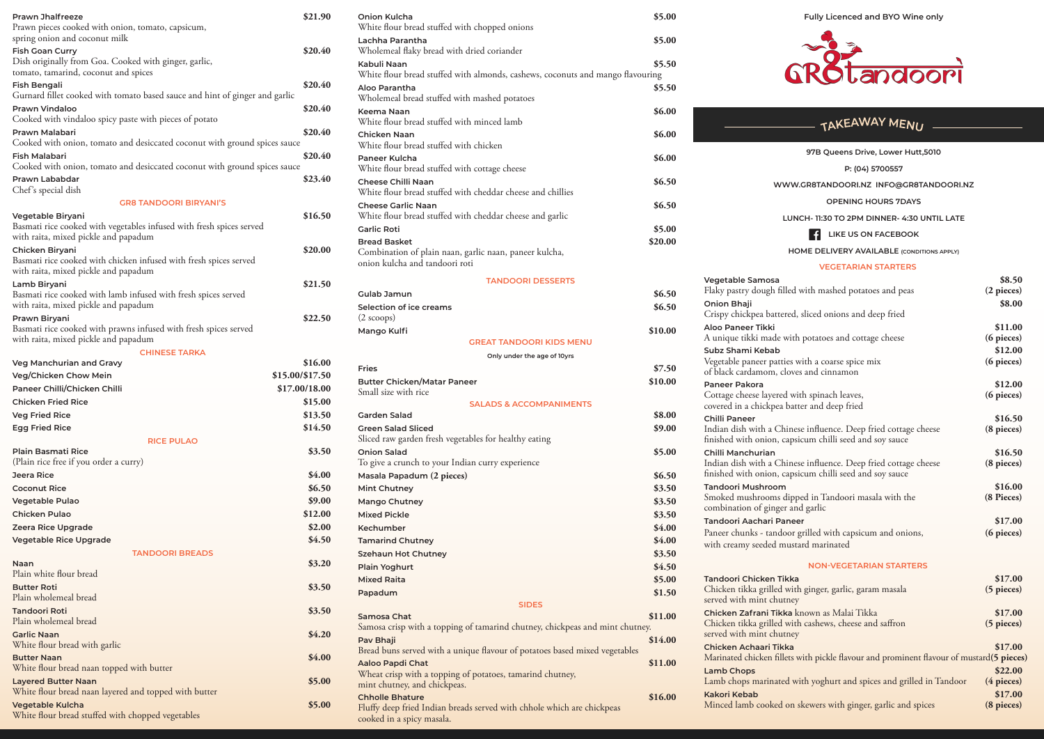**Fully Licenced and BYO Wine only**



## $TAKEAWAY$  MENU  $-$

| 97B Queens Drive, Lower Hutt,5010                                                                                                                                                           |                                                     |
|---------------------------------------------------------------------------------------------------------------------------------------------------------------------------------------------|-----------------------------------------------------|
| P: (04) 5700557                                                                                                                                                                             |                                                     |
| WWW.GR8TANDOORI.NZ INFO@GR8TANDOORI.NZ                                                                                                                                                      |                                                     |
| <b>OPENING HOURS 7DAYS</b>                                                                                                                                                                  |                                                     |
| LUNCH-11:30 TO 2PM DINNER-4:30 UNTIL LATE                                                                                                                                                   |                                                     |
| 41<br>LIKE US ON FACEBOOK                                                                                                                                                                   |                                                     |
| <b>HOME DELIVERY AVAILABLE (CONDITIONS APPLY)</b>                                                                                                                                           |                                                     |
| <b>VEGETARIAN STARTERS</b>                                                                                                                                                                  |                                                     |
| Vegetable Samosa<br>Flaky pastry dough filled with mashed potatoes and peas<br><b>Onion Bhaji</b><br>Crispy chickpea battered, sliced onions and deep fried                                 | \$8.50<br>$(2$ pieces $)$<br>\$8.00                 |
| Aloo Paneer Tikki<br>A unique tikki made with potatoes and cottage cheese<br>Subz Shami Kebab<br>Vegetable paneer patties with a coarse spice mix<br>of black cardamom, cloves and cinnamon | \$11.00<br>(6 pieces)<br>\$12.00<br>$(6$ pieces $)$ |
| Paneer Pakora<br>Cottage cheese layered with spinach leaves,<br>covered in a chickpea batter and deep fried                                                                                 | \$12.00<br>$(6$ pieces $)$                          |
| Chilli Paneer<br>Indian dish with a Chinese influence. Deep fried cottage cheese<br>finished with onion, capsicum chilli seed and soy sauce                                                 | \$16.50<br>(8 pieces)                               |
| Chilli Manchurian<br>Indian dish with a Chinese influence. Deep fried cottage cheese<br>finished with onion, capsicum chilli seed and soy sauce                                             | \$16.50<br>(8 pieces)                               |
| <b>Tandoori Mushroom</b><br>Smoked mushrooms dipped in Tandoori masala with the<br>combination of ginger and garlic                                                                         | \$16.00<br>(8 Pieces)                               |
| Tandoori Aachari Paneer<br>Paneer chunks - tandoor grilled with capsicum and onions,<br>with creamy seeded mustard marinated                                                                | \$17.00<br>(6 pieces)                               |
| <b>NON-VEGETARIAN STARTERS</b>                                                                                                                                                              |                                                     |
| Tandoori Chicken Tikka<br>Chicken tikka grilled with ginger, garlic, garam masala<br>served with mint chutney                                                                               | \$17.00<br>$(5$ pieces $)$                          |
| Chicken Zafrani Tikka known as Malai Tikka<br>Chicken tikka grilled with cashews, cheese and saffron<br>served with mint chutney                                                            | \$17.00<br>$(5$ pieces $)$                          |
| <b>Chicken Achaari Tikka</b><br>Marinated chicken fillets with pickle flavour and prominent flavour of mustard(5 pieces)<br><b>Lamb Chops</b>                                               | \$17.00<br>\$22.00                                  |
| Lamb chops marinated with yoghurt and spices and grilled in Tandoor<br><b>Kakori Kebab</b>                                                                                                  | $(4$ pieces $)$<br>\$17.00                          |
| Minced lamb cooked on skewers with ginger, garlic and spices                                                                                                                                | (8 pieces)                                          |

| White flour bread stuffed with chopped onions<br>spring onion and coconut milk<br>Lachha Parantha<br>\$5.00<br>Wholemeal flaky bread with dried coriander<br><b>Fish Goan Curry</b><br>\$20.40<br>Dish originally from Goa. Cooked with ginger, garlic,<br>\$5.50<br>Kabuli Naan<br>tomato, tamarind, coconut and spices<br>White flour bread stuffed with almonds, cashews, coconuts and mango flavouring<br>\$20.40<br><b>Fish Bengali</b><br>\$5.50<br>Aloo Parantha<br>Gurnard fillet cooked with tomato based sauce and hint of ginger and garlic<br>Wholemeal bread stuffed with mashed potatoes<br>\$20.40<br>Keema Naan<br>\$6.00<br>Cooked with vindaloo spicy paste with pieces of potato<br>White flour bread stuffed with minced lamb<br>\$20.40<br><b>Chicken Naan</b><br>\$6.00<br>Cooked with onion, tomato and desiccated coconut with ground spices sauce<br>White flour bread stuffed with chicken<br>\$20.40<br>Fish Malabari<br>Paneer Kulcha<br>\$6.00<br>Cooked with onion, tomato and desiccated coconut with ground spices sauce<br>White flour bread stuffed with cottage cheese<br>\$23.40<br>Prawn Lababdar<br><b>Cheese Chilli Naan</b><br>\$6.50<br><b>WW</b><br>Chef's special dish<br>White flour bread stuffed with cheddar cheese and chillies<br><b>GR8 TANDOORI BIRYANI'S</b><br>\$6.50<br><b>Cheese Garlic Naan</b><br>\$16.50<br>White flour bread stuffed with cheddar cheese and garlic<br>Vegetable Biryani<br>LU<br>Basmati rice cooked with vegetables infused with fresh spices served<br>\$5.00<br><b>Garlic Roti</b><br>\$20.00<br><b>Bread Basket</b><br>\$20.00<br>Combination of plain naan, garlic naan, paneer kulcha,<br>Basmati rice cooked with chicken infused with fresh spices served<br>onion kulcha and tandoori roti<br>with raita, mixed pickle and papadum<br>Vegetable Samosa<br><b>TANDOORI DESSERTS</b><br>\$21.50<br>Lamb Biryani<br>Flaky pastry dough fille<br>\$6.50<br><b>Gulab Jamun</b><br>Basmati rice cooked with lamb infused with fresh spices served<br>Onion Bhaji<br>with raita, mixed pickle and papadum<br>Selection of ice creams<br>\$6.50<br>Crispy chickpea battere<br>Prawn Biryani<br>\$22.50<br>$(2~\text{scoops})$<br>Aloo Paneer Tikki<br>Basmati rice cooked with prawns infused with fresh spices served<br>\$10.00<br>Mango Kulfi<br>A unique tikki made wi<br><b>GREAT TANDOORI KIDS MENU</b><br>Subz Shami Kebab<br><b>CHINESE TARKA</b><br>Only under the age of 10yrs<br>Vegetable paneer patties<br>\$16.00<br>\$7.50<br><b>Fries</b><br>of black cardamom, clo<br>\$15.00/\$17.50<br><b>Butter Chicken/Matar Paneer</b><br>\$10.00<br><b>Paneer Pakora</b><br>\$17.00/18.00<br>Small size with rice<br>Cottage cheese layered<br>\$15.00<br><b>SALADS &amp; ACCOMPANIMENTS</b><br>covered in a chickpea b<br>\$13.50<br>\$8.00<br><b>Garden Salad</b><br><b>Chilli Paneer</b><br>\$14.50<br><b>Green Salad Sliced</b><br>\$9.00<br>Indian dish with a Chir<br>Sliced raw garden fresh vegetables for healthy eating<br>finished with onion, cap<br><b>RICE PULAO</b><br><b>Plain Basmati Rice</b><br>\$3.50<br><b>Onion Salad</b><br>\$5.00<br>Chilli Manchurian<br>(Plain rice free if you order a curry)<br>To give a crunch to your Indian curry experience<br>Indian dish with a Chir<br>finished with onion, cap<br>\$4.00<br>Jeera Rice<br>Masala Papadum (2 pieces)<br>\$6.50<br><b>Tandoori Mushroom</b><br>\$6.50<br><b>Coconut Rice</b><br>\$3.50<br><b>Mint Chutney</b><br>Smoked mushrooms di<br>\$9.00<br>Vegetable Pulao<br>\$3.50<br>Mango Chutney<br>combination of ginger a<br>\$12.00<br><b>Chicken Pulao</b><br><b>Mixed Pickle</b><br>\$3.50<br>Tandoori Aachari Pan<br>\$2.00<br>Zeera Rice Upgrade<br>\$4.00<br>Kechumber<br>Paneer chunks - tandoo<br>\$4.50<br><b>Vegetable Rice Upgrade</b><br>\$4.00<br><b>Tamarind Chutney</b><br>with creamy seeded mu<br><b>TANDOORI BREADS</b><br>\$3.50<br><b>Szehaun Hot Chutney</b><br>\$3.20<br>Naan<br>\$4.50<br><b>Plain Yoghurt</b><br>Plain white flour bread<br><b>Tandoori Chicken Tikl</b><br><b>Mixed Raita</b><br>\$5.00<br><b>Butter Roti</b><br>\$3.50<br>Chicken tikka grilled w<br>\$1.50<br>Papadum<br>Plain wholemeal bread<br>served with mint chutn<br><b>SIDES</b><br>\$3.50<br>Chicken Zafrani Tikka<br>\$11.00<br><b>Samosa Chat</b><br>Plain wholemeal bread<br>Chicken tikka grilled w<br>Samosa crisp with a topping of tamarind chutney, chickpeas and mint chutney.<br>served with mint chutn<br>\$4.20<br>\$14.00<br>Pav Bhaji<br>White flour bread with garlic<br>Chicken Achaari Tikka<br>Bread buns served with a unique flavour of potatoes based mixed vegetables<br>\$4.00<br>Marinated chicken fillet<br><b>Butter Naan</b><br><b>Aaloo Papdi Chat</b><br>\$11.00<br>White flour bread naan topped with butter<br><b>Lamb Chops</b><br>Wheat crisp with a topping of potatoes, tamarind chutney,<br>Lamb chops marinated<br><b>Layered Butter Naan</b><br>\$5.00<br>mint chutney, and chickpeas.<br>White flour bread naan layered and topped with butter<br><b>Kakori Kebab</b><br><b>Chholle Bhature</b><br>\$16.00<br>Minced lamb cooked of<br>Vegetable Kulcha<br>\$5.00<br>Fluffy deep fried Indian breads served with chhole which are chickpeas<br>White flour bread stuffed with chopped vegetables<br>cooked in a spicy masala. | <b>Prawn Jhalfreeze</b>                           | \$21.90 | <b>Onion Kulcha</b> | \$5.00 |  |
|-----------------------------------------------------------------------------------------------------------------------------------------------------------------------------------------------------------------------------------------------------------------------------------------------------------------------------------------------------------------------------------------------------------------------------------------------------------------------------------------------------------------------------------------------------------------------------------------------------------------------------------------------------------------------------------------------------------------------------------------------------------------------------------------------------------------------------------------------------------------------------------------------------------------------------------------------------------------------------------------------------------------------------------------------------------------------------------------------------------------------------------------------------------------------------------------------------------------------------------------------------------------------------------------------------------------------------------------------------------------------------------------------------------------------------------------------------------------------------------------------------------------------------------------------------------------------------------------------------------------------------------------------------------------------------------------------------------------------------------------------------------------------------------------------------------------------------------------------------------------------------------------------------------------------------------------------------------------------------------------------------------------------------------------------------------------------------------------------------------------------------------------------------------------------------------------------------------------------------------------------------------------------------------------------------------------------------------------------------------------------------------------------------------------------------------------------------------------------------------------------------------------------------------------------------------------------------------------------------------------------------------------------------------------------------------------------------------------------------------------------------------------------------------------------------------------------------------------------------------------------------------------------------------------------------------------------------------------------------------------------------------------------------------------------------------------------------------------------------------------------------------------------------------------------------------------------------------------------------------------------------------------------------------------------------------------------------------------------------------------------------------------------------------------------------------------------------------------------------------------------------------------------------------------------------------------------------------------------------------------------------------------------------------------------------------------------------------------------------------------------------------------------------------------------------------------------------------------------------------------------------------------------------------------------------------------------------------------------------------------------------------------------------------------------------------------------------------------------------------------------------------------------------------------------------------------------------------------------------------------------------------------------------------------------------------------------------------------------------------------------------------------------------------------------------------------------------------------------------------------------------------------------------------------------------------------------------------------------------------------------------------------------------------------------------------------------------------------------------------------------------------------------------------------------------------------------------------------------------------------------------------------------------------------------------------------------------------------------------------------------------------------------------------------------------------------------------------------------------------------------------------------------------------------------------------------------------------------------------------------------------------------------------------------------------------------------------------------------|---------------------------------------------------|---------|---------------------|--------|--|
|                                                                                                                                                                                                                                                                                                                                                                                                                                                                                                                                                                                                                                                                                                                                                                                                                                                                                                                                                                                                                                                                                                                                                                                                                                                                                                                                                                                                                                                                                                                                                                                                                                                                                                                                                                                                                                                                                                                                                                                                                                                                                                                                                                                                                                                                                                                                                                                                                                                                                                                                                                                                                                                                                                                                                                                                                                                                                                                                                                                                                                                                                                                                                                                                                                                                                                                                                                                                                                                                                                                                                                                                                                                                                                                                                                                                                                                                                                                                                                                                                                                                                                                                                                                                                                                                                                                                                                                                                                                                                                                                                                                                                                                                                                                                                                                                                                                                                                                                                                                                                                                                                                                                                                                                                                                                                                                                               | Prawn pieces cooked with onion, tomato, capsicum, |         |                     |        |  |
|                                                                                                                                                                                                                                                                                                                                                                                                                                                                                                                                                                                                                                                                                                                                                                                                                                                                                                                                                                                                                                                                                                                                                                                                                                                                                                                                                                                                                                                                                                                                                                                                                                                                                                                                                                                                                                                                                                                                                                                                                                                                                                                                                                                                                                                                                                                                                                                                                                                                                                                                                                                                                                                                                                                                                                                                                                                                                                                                                                                                                                                                                                                                                                                                                                                                                                                                                                                                                                                                                                                                                                                                                                                                                                                                                                                                                                                                                                                                                                                                                                                                                                                                                                                                                                                                                                                                                                                                                                                                                                                                                                                                                                                                                                                                                                                                                                                                                                                                                                                                                                                                                                                                                                                                                                                                                                                                               |                                                   |         |                     |        |  |
|                                                                                                                                                                                                                                                                                                                                                                                                                                                                                                                                                                                                                                                                                                                                                                                                                                                                                                                                                                                                                                                                                                                                                                                                                                                                                                                                                                                                                                                                                                                                                                                                                                                                                                                                                                                                                                                                                                                                                                                                                                                                                                                                                                                                                                                                                                                                                                                                                                                                                                                                                                                                                                                                                                                                                                                                                                                                                                                                                                                                                                                                                                                                                                                                                                                                                                                                                                                                                                                                                                                                                                                                                                                                                                                                                                                                                                                                                                                                                                                                                                                                                                                                                                                                                                                                                                                                                                                                                                                                                                                                                                                                                                                                                                                                                                                                                                                                                                                                                                                                                                                                                                                                                                                                                                                                                                                                               |                                                   |         |                     |        |  |
|                                                                                                                                                                                                                                                                                                                                                                                                                                                                                                                                                                                                                                                                                                                                                                                                                                                                                                                                                                                                                                                                                                                                                                                                                                                                                                                                                                                                                                                                                                                                                                                                                                                                                                                                                                                                                                                                                                                                                                                                                                                                                                                                                                                                                                                                                                                                                                                                                                                                                                                                                                                                                                                                                                                                                                                                                                                                                                                                                                                                                                                                                                                                                                                                                                                                                                                                                                                                                                                                                                                                                                                                                                                                                                                                                                                                                                                                                                                                                                                                                                                                                                                                                                                                                                                                                                                                                                                                                                                                                                                                                                                                                                                                                                                                                                                                                                                                                                                                                                                                                                                                                                                                                                                                                                                                                                                                               |                                                   |         |                     |        |  |
|                                                                                                                                                                                                                                                                                                                                                                                                                                                                                                                                                                                                                                                                                                                                                                                                                                                                                                                                                                                                                                                                                                                                                                                                                                                                                                                                                                                                                                                                                                                                                                                                                                                                                                                                                                                                                                                                                                                                                                                                                                                                                                                                                                                                                                                                                                                                                                                                                                                                                                                                                                                                                                                                                                                                                                                                                                                                                                                                                                                                                                                                                                                                                                                                                                                                                                                                                                                                                                                                                                                                                                                                                                                                                                                                                                                                                                                                                                                                                                                                                                                                                                                                                                                                                                                                                                                                                                                                                                                                                                                                                                                                                                                                                                                                                                                                                                                                                                                                                                                                                                                                                                                                                                                                                                                                                                                                               |                                                   |         |                     |        |  |
|                                                                                                                                                                                                                                                                                                                                                                                                                                                                                                                                                                                                                                                                                                                                                                                                                                                                                                                                                                                                                                                                                                                                                                                                                                                                                                                                                                                                                                                                                                                                                                                                                                                                                                                                                                                                                                                                                                                                                                                                                                                                                                                                                                                                                                                                                                                                                                                                                                                                                                                                                                                                                                                                                                                                                                                                                                                                                                                                                                                                                                                                                                                                                                                                                                                                                                                                                                                                                                                                                                                                                                                                                                                                                                                                                                                                                                                                                                                                                                                                                                                                                                                                                                                                                                                                                                                                                                                                                                                                                                                                                                                                                                                                                                                                                                                                                                                                                                                                                                                                                                                                                                                                                                                                                                                                                                                                               |                                                   |         |                     |        |  |
|                                                                                                                                                                                                                                                                                                                                                                                                                                                                                                                                                                                                                                                                                                                                                                                                                                                                                                                                                                                                                                                                                                                                                                                                                                                                                                                                                                                                                                                                                                                                                                                                                                                                                                                                                                                                                                                                                                                                                                                                                                                                                                                                                                                                                                                                                                                                                                                                                                                                                                                                                                                                                                                                                                                                                                                                                                                                                                                                                                                                                                                                                                                                                                                                                                                                                                                                                                                                                                                                                                                                                                                                                                                                                                                                                                                                                                                                                                                                                                                                                                                                                                                                                                                                                                                                                                                                                                                                                                                                                                                                                                                                                                                                                                                                                                                                                                                                                                                                                                                                                                                                                                                                                                                                                                                                                                                                               | <b>Prawn Vindaloo</b>                             |         |                     |        |  |
|                                                                                                                                                                                                                                                                                                                                                                                                                                                                                                                                                                                                                                                                                                                                                                                                                                                                                                                                                                                                                                                                                                                                                                                                                                                                                                                                                                                                                                                                                                                                                                                                                                                                                                                                                                                                                                                                                                                                                                                                                                                                                                                                                                                                                                                                                                                                                                                                                                                                                                                                                                                                                                                                                                                                                                                                                                                                                                                                                                                                                                                                                                                                                                                                                                                                                                                                                                                                                                                                                                                                                                                                                                                                                                                                                                                                                                                                                                                                                                                                                                                                                                                                                                                                                                                                                                                                                                                                                                                                                                                                                                                                                                                                                                                                                                                                                                                                                                                                                                                                                                                                                                                                                                                                                                                                                                                                               |                                                   |         |                     |        |  |
|                                                                                                                                                                                                                                                                                                                                                                                                                                                                                                                                                                                                                                                                                                                                                                                                                                                                                                                                                                                                                                                                                                                                                                                                                                                                                                                                                                                                                                                                                                                                                                                                                                                                                                                                                                                                                                                                                                                                                                                                                                                                                                                                                                                                                                                                                                                                                                                                                                                                                                                                                                                                                                                                                                                                                                                                                                                                                                                                                                                                                                                                                                                                                                                                                                                                                                                                                                                                                                                                                                                                                                                                                                                                                                                                                                                                                                                                                                                                                                                                                                                                                                                                                                                                                                                                                                                                                                                                                                                                                                                                                                                                                                                                                                                                                                                                                                                                                                                                                                                                                                                                                                                                                                                                                                                                                                                                               | Prawn Malabari                                    |         |                     |        |  |
|                                                                                                                                                                                                                                                                                                                                                                                                                                                                                                                                                                                                                                                                                                                                                                                                                                                                                                                                                                                                                                                                                                                                                                                                                                                                                                                                                                                                                                                                                                                                                                                                                                                                                                                                                                                                                                                                                                                                                                                                                                                                                                                                                                                                                                                                                                                                                                                                                                                                                                                                                                                                                                                                                                                                                                                                                                                                                                                                                                                                                                                                                                                                                                                                                                                                                                                                                                                                                                                                                                                                                                                                                                                                                                                                                                                                                                                                                                                                                                                                                                                                                                                                                                                                                                                                                                                                                                                                                                                                                                                                                                                                                                                                                                                                                                                                                                                                                                                                                                                                                                                                                                                                                                                                                                                                                                                                               |                                                   |         |                     |        |  |
|                                                                                                                                                                                                                                                                                                                                                                                                                                                                                                                                                                                                                                                                                                                                                                                                                                                                                                                                                                                                                                                                                                                                                                                                                                                                                                                                                                                                                                                                                                                                                                                                                                                                                                                                                                                                                                                                                                                                                                                                                                                                                                                                                                                                                                                                                                                                                                                                                                                                                                                                                                                                                                                                                                                                                                                                                                                                                                                                                                                                                                                                                                                                                                                                                                                                                                                                                                                                                                                                                                                                                                                                                                                                                                                                                                                                                                                                                                                                                                                                                                                                                                                                                                                                                                                                                                                                                                                                                                                                                                                                                                                                                                                                                                                                                                                                                                                                                                                                                                                                                                                                                                                                                                                                                                                                                                                                               |                                                   |         |                     |        |  |
|                                                                                                                                                                                                                                                                                                                                                                                                                                                                                                                                                                                                                                                                                                                                                                                                                                                                                                                                                                                                                                                                                                                                                                                                                                                                                                                                                                                                                                                                                                                                                                                                                                                                                                                                                                                                                                                                                                                                                                                                                                                                                                                                                                                                                                                                                                                                                                                                                                                                                                                                                                                                                                                                                                                                                                                                                                                                                                                                                                                                                                                                                                                                                                                                                                                                                                                                                                                                                                                                                                                                                                                                                                                                                                                                                                                                                                                                                                                                                                                                                                                                                                                                                                                                                                                                                                                                                                                                                                                                                                                                                                                                                                                                                                                                                                                                                                                                                                                                                                                                                                                                                                                                                                                                                                                                                                                                               |                                                   |         |                     |        |  |
|                                                                                                                                                                                                                                                                                                                                                                                                                                                                                                                                                                                                                                                                                                                                                                                                                                                                                                                                                                                                                                                                                                                                                                                                                                                                                                                                                                                                                                                                                                                                                                                                                                                                                                                                                                                                                                                                                                                                                                                                                                                                                                                                                                                                                                                                                                                                                                                                                                                                                                                                                                                                                                                                                                                                                                                                                                                                                                                                                                                                                                                                                                                                                                                                                                                                                                                                                                                                                                                                                                                                                                                                                                                                                                                                                                                                                                                                                                                                                                                                                                                                                                                                                                                                                                                                                                                                                                                                                                                                                                                                                                                                                                                                                                                                                                                                                                                                                                                                                                                                                                                                                                                                                                                                                                                                                                                                               |                                                   |         |                     |        |  |
|                                                                                                                                                                                                                                                                                                                                                                                                                                                                                                                                                                                                                                                                                                                                                                                                                                                                                                                                                                                                                                                                                                                                                                                                                                                                                                                                                                                                                                                                                                                                                                                                                                                                                                                                                                                                                                                                                                                                                                                                                                                                                                                                                                                                                                                                                                                                                                                                                                                                                                                                                                                                                                                                                                                                                                                                                                                                                                                                                                                                                                                                                                                                                                                                                                                                                                                                                                                                                                                                                                                                                                                                                                                                                                                                                                                                                                                                                                                                                                                                                                                                                                                                                                                                                                                                                                                                                                                                                                                                                                                                                                                                                                                                                                                                                                                                                                                                                                                                                                                                                                                                                                                                                                                                                                                                                                                                               |                                                   |         |                     |        |  |
|                                                                                                                                                                                                                                                                                                                                                                                                                                                                                                                                                                                                                                                                                                                                                                                                                                                                                                                                                                                                                                                                                                                                                                                                                                                                                                                                                                                                                                                                                                                                                                                                                                                                                                                                                                                                                                                                                                                                                                                                                                                                                                                                                                                                                                                                                                                                                                                                                                                                                                                                                                                                                                                                                                                                                                                                                                                                                                                                                                                                                                                                                                                                                                                                                                                                                                                                                                                                                                                                                                                                                                                                                                                                                                                                                                                                                                                                                                                                                                                                                                                                                                                                                                                                                                                                                                                                                                                                                                                                                                                                                                                                                                                                                                                                                                                                                                                                                                                                                                                                                                                                                                                                                                                                                                                                                                                                               |                                                   |         |                     |        |  |
|                                                                                                                                                                                                                                                                                                                                                                                                                                                                                                                                                                                                                                                                                                                                                                                                                                                                                                                                                                                                                                                                                                                                                                                                                                                                                                                                                                                                                                                                                                                                                                                                                                                                                                                                                                                                                                                                                                                                                                                                                                                                                                                                                                                                                                                                                                                                                                                                                                                                                                                                                                                                                                                                                                                                                                                                                                                                                                                                                                                                                                                                                                                                                                                                                                                                                                                                                                                                                                                                                                                                                                                                                                                                                                                                                                                                                                                                                                                                                                                                                                                                                                                                                                                                                                                                                                                                                                                                                                                                                                                                                                                                                                                                                                                                                                                                                                                                                                                                                                                                                                                                                                                                                                                                                                                                                                                                               |                                                   |         |                     |        |  |
|                                                                                                                                                                                                                                                                                                                                                                                                                                                                                                                                                                                                                                                                                                                                                                                                                                                                                                                                                                                                                                                                                                                                                                                                                                                                                                                                                                                                                                                                                                                                                                                                                                                                                                                                                                                                                                                                                                                                                                                                                                                                                                                                                                                                                                                                                                                                                                                                                                                                                                                                                                                                                                                                                                                                                                                                                                                                                                                                                                                                                                                                                                                                                                                                                                                                                                                                                                                                                                                                                                                                                                                                                                                                                                                                                                                                                                                                                                                                                                                                                                                                                                                                                                                                                                                                                                                                                                                                                                                                                                                                                                                                                                                                                                                                                                                                                                                                                                                                                                                                                                                                                                                                                                                                                                                                                                                                               | with raita, mixed pickle and papadum              |         |                     |        |  |
|                                                                                                                                                                                                                                                                                                                                                                                                                                                                                                                                                                                                                                                                                                                                                                                                                                                                                                                                                                                                                                                                                                                                                                                                                                                                                                                                                                                                                                                                                                                                                                                                                                                                                                                                                                                                                                                                                                                                                                                                                                                                                                                                                                                                                                                                                                                                                                                                                                                                                                                                                                                                                                                                                                                                                                                                                                                                                                                                                                                                                                                                                                                                                                                                                                                                                                                                                                                                                                                                                                                                                                                                                                                                                                                                                                                                                                                                                                                                                                                                                                                                                                                                                                                                                                                                                                                                                                                                                                                                                                                                                                                                                                                                                                                                                                                                                                                                                                                                                                                                                                                                                                                                                                                                                                                                                                                                               | Chicken Biryani                                   |         |                     |        |  |
|                                                                                                                                                                                                                                                                                                                                                                                                                                                                                                                                                                                                                                                                                                                                                                                                                                                                                                                                                                                                                                                                                                                                                                                                                                                                                                                                                                                                                                                                                                                                                                                                                                                                                                                                                                                                                                                                                                                                                                                                                                                                                                                                                                                                                                                                                                                                                                                                                                                                                                                                                                                                                                                                                                                                                                                                                                                                                                                                                                                                                                                                                                                                                                                                                                                                                                                                                                                                                                                                                                                                                                                                                                                                                                                                                                                                                                                                                                                                                                                                                                                                                                                                                                                                                                                                                                                                                                                                                                                                                                                                                                                                                                                                                                                                                                                                                                                                                                                                                                                                                                                                                                                                                                                                                                                                                                                                               |                                                   |         |                     |        |  |
|                                                                                                                                                                                                                                                                                                                                                                                                                                                                                                                                                                                                                                                                                                                                                                                                                                                                                                                                                                                                                                                                                                                                                                                                                                                                                                                                                                                                                                                                                                                                                                                                                                                                                                                                                                                                                                                                                                                                                                                                                                                                                                                                                                                                                                                                                                                                                                                                                                                                                                                                                                                                                                                                                                                                                                                                                                                                                                                                                                                                                                                                                                                                                                                                                                                                                                                                                                                                                                                                                                                                                                                                                                                                                                                                                                                                                                                                                                                                                                                                                                                                                                                                                                                                                                                                                                                                                                                                                                                                                                                                                                                                                                                                                                                                                                                                                                                                                                                                                                                                                                                                                                                                                                                                                                                                                                                                               |                                                   |         |                     |        |  |
|                                                                                                                                                                                                                                                                                                                                                                                                                                                                                                                                                                                                                                                                                                                                                                                                                                                                                                                                                                                                                                                                                                                                                                                                                                                                                                                                                                                                                                                                                                                                                                                                                                                                                                                                                                                                                                                                                                                                                                                                                                                                                                                                                                                                                                                                                                                                                                                                                                                                                                                                                                                                                                                                                                                                                                                                                                                                                                                                                                                                                                                                                                                                                                                                                                                                                                                                                                                                                                                                                                                                                                                                                                                                                                                                                                                                                                                                                                                                                                                                                                                                                                                                                                                                                                                                                                                                                                                                                                                                                                                                                                                                                                                                                                                                                                                                                                                                                                                                                                                                                                                                                                                                                                                                                                                                                                                                               |                                                   |         |                     |        |  |
|                                                                                                                                                                                                                                                                                                                                                                                                                                                                                                                                                                                                                                                                                                                                                                                                                                                                                                                                                                                                                                                                                                                                                                                                                                                                                                                                                                                                                                                                                                                                                                                                                                                                                                                                                                                                                                                                                                                                                                                                                                                                                                                                                                                                                                                                                                                                                                                                                                                                                                                                                                                                                                                                                                                                                                                                                                                                                                                                                                                                                                                                                                                                                                                                                                                                                                                                                                                                                                                                                                                                                                                                                                                                                                                                                                                                                                                                                                                                                                                                                                                                                                                                                                                                                                                                                                                                                                                                                                                                                                                                                                                                                                                                                                                                                                                                                                                                                                                                                                                                                                                                                                                                                                                                                                                                                                                                               |                                                   |         |                     |        |  |
|                                                                                                                                                                                                                                                                                                                                                                                                                                                                                                                                                                                                                                                                                                                                                                                                                                                                                                                                                                                                                                                                                                                                                                                                                                                                                                                                                                                                                                                                                                                                                                                                                                                                                                                                                                                                                                                                                                                                                                                                                                                                                                                                                                                                                                                                                                                                                                                                                                                                                                                                                                                                                                                                                                                                                                                                                                                                                                                                                                                                                                                                                                                                                                                                                                                                                                                                                                                                                                                                                                                                                                                                                                                                                                                                                                                                                                                                                                                                                                                                                                                                                                                                                                                                                                                                                                                                                                                                                                                                                                                                                                                                                                                                                                                                                                                                                                                                                                                                                                                                                                                                                                                                                                                                                                                                                                                                               |                                                   |         |                     |        |  |
|                                                                                                                                                                                                                                                                                                                                                                                                                                                                                                                                                                                                                                                                                                                                                                                                                                                                                                                                                                                                                                                                                                                                                                                                                                                                                                                                                                                                                                                                                                                                                                                                                                                                                                                                                                                                                                                                                                                                                                                                                                                                                                                                                                                                                                                                                                                                                                                                                                                                                                                                                                                                                                                                                                                                                                                                                                                                                                                                                                                                                                                                                                                                                                                                                                                                                                                                                                                                                                                                                                                                                                                                                                                                                                                                                                                                                                                                                                                                                                                                                                                                                                                                                                                                                                                                                                                                                                                                                                                                                                                                                                                                                                                                                                                                                                                                                                                                                                                                                                                                                                                                                                                                                                                                                                                                                                                                               |                                                   |         |                     |        |  |
|                                                                                                                                                                                                                                                                                                                                                                                                                                                                                                                                                                                                                                                                                                                                                                                                                                                                                                                                                                                                                                                                                                                                                                                                                                                                                                                                                                                                                                                                                                                                                                                                                                                                                                                                                                                                                                                                                                                                                                                                                                                                                                                                                                                                                                                                                                                                                                                                                                                                                                                                                                                                                                                                                                                                                                                                                                                                                                                                                                                                                                                                                                                                                                                                                                                                                                                                                                                                                                                                                                                                                                                                                                                                                                                                                                                                                                                                                                                                                                                                                                                                                                                                                                                                                                                                                                                                                                                                                                                                                                                                                                                                                                                                                                                                                                                                                                                                                                                                                                                                                                                                                                                                                                                                                                                                                                                                               | with raita, mixed pickle and papadum              |         |                     |        |  |
|                                                                                                                                                                                                                                                                                                                                                                                                                                                                                                                                                                                                                                                                                                                                                                                                                                                                                                                                                                                                                                                                                                                                                                                                                                                                                                                                                                                                                                                                                                                                                                                                                                                                                                                                                                                                                                                                                                                                                                                                                                                                                                                                                                                                                                                                                                                                                                                                                                                                                                                                                                                                                                                                                                                                                                                                                                                                                                                                                                                                                                                                                                                                                                                                                                                                                                                                                                                                                                                                                                                                                                                                                                                                                                                                                                                                                                                                                                                                                                                                                                                                                                                                                                                                                                                                                                                                                                                                                                                                                                                                                                                                                                                                                                                                                                                                                                                                                                                                                                                                                                                                                                                                                                                                                                                                                                                                               |                                                   |         |                     |        |  |
|                                                                                                                                                                                                                                                                                                                                                                                                                                                                                                                                                                                                                                                                                                                                                                                                                                                                                                                                                                                                                                                                                                                                                                                                                                                                                                                                                                                                                                                                                                                                                                                                                                                                                                                                                                                                                                                                                                                                                                                                                                                                                                                                                                                                                                                                                                                                                                                                                                                                                                                                                                                                                                                                                                                                                                                                                                                                                                                                                                                                                                                                                                                                                                                                                                                                                                                                                                                                                                                                                                                                                                                                                                                                                                                                                                                                                                                                                                                                                                                                                                                                                                                                                                                                                                                                                                                                                                                                                                                                                                                                                                                                                                                                                                                                                                                                                                                                                                                                                                                                                                                                                                                                                                                                                                                                                                                                               | <b>Veg Manchurian and Gravy</b>                   |         |                     |        |  |
|                                                                                                                                                                                                                                                                                                                                                                                                                                                                                                                                                                                                                                                                                                                                                                                                                                                                                                                                                                                                                                                                                                                                                                                                                                                                                                                                                                                                                                                                                                                                                                                                                                                                                                                                                                                                                                                                                                                                                                                                                                                                                                                                                                                                                                                                                                                                                                                                                                                                                                                                                                                                                                                                                                                                                                                                                                                                                                                                                                                                                                                                                                                                                                                                                                                                                                                                                                                                                                                                                                                                                                                                                                                                                                                                                                                                                                                                                                                                                                                                                                                                                                                                                                                                                                                                                                                                                                                                                                                                                                                                                                                                                                                                                                                                                                                                                                                                                                                                                                                                                                                                                                                                                                                                                                                                                                                                               | Veg/Chicken Chow Mein                             |         |                     |        |  |
|                                                                                                                                                                                                                                                                                                                                                                                                                                                                                                                                                                                                                                                                                                                                                                                                                                                                                                                                                                                                                                                                                                                                                                                                                                                                                                                                                                                                                                                                                                                                                                                                                                                                                                                                                                                                                                                                                                                                                                                                                                                                                                                                                                                                                                                                                                                                                                                                                                                                                                                                                                                                                                                                                                                                                                                                                                                                                                                                                                                                                                                                                                                                                                                                                                                                                                                                                                                                                                                                                                                                                                                                                                                                                                                                                                                                                                                                                                                                                                                                                                                                                                                                                                                                                                                                                                                                                                                                                                                                                                                                                                                                                                                                                                                                                                                                                                                                                                                                                                                                                                                                                                                                                                                                                                                                                                                                               | Paneer Chilli/Chicken Chilli                      |         |                     |        |  |
|                                                                                                                                                                                                                                                                                                                                                                                                                                                                                                                                                                                                                                                                                                                                                                                                                                                                                                                                                                                                                                                                                                                                                                                                                                                                                                                                                                                                                                                                                                                                                                                                                                                                                                                                                                                                                                                                                                                                                                                                                                                                                                                                                                                                                                                                                                                                                                                                                                                                                                                                                                                                                                                                                                                                                                                                                                                                                                                                                                                                                                                                                                                                                                                                                                                                                                                                                                                                                                                                                                                                                                                                                                                                                                                                                                                                                                                                                                                                                                                                                                                                                                                                                                                                                                                                                                                                                                                                                                                                                                                                                                                                                                                                                                                                                                                                                                                                                                                                                                                                                                                                                                                                                                                                                                                                                                                                               | <b>Chicken Fried Rice</b>                         |         |                     |        |  |
|                                                                                                                                                                                                                                                                                                                                                                                                                                                                                                                                                                                                                                                                                                                                                                                                                                                                                                                                                                                                                                                                                                                                                                                                                                                                                                                                                                                                                                                                                                                                                                                                                                                                                                                                                                                                                                                                                                                                                                                                                                                                                                                                                                                                                                                                                                                                                                                                                                                                                                                                                                                                                                                                                                                                                                                                                                                                                                                                                                                                                                                                                                                                                                                                                                                                                                                                                                                                                                                                                                                                                                                                                                                                                                                                                                                                                                                                                                                                                                                                                                                                                                                                                                                                                                                                                                                                                                                                                                                                                                                                                                                                                                                                                                                                                                                                                                                                                                                                                                                                                                                                                                                                                                                                                                                                                                                                               | <b>Veg Fried Rice</b>                             |         |                     |        |  |
|                                                                                                                                                                                                                                                                                                                                                                                                                                                                                                                                                                                                                                                                                                                                                                                                                                                                                                                                                                                                                                                                                                                                                                                                                                                                                                                                                                                                                                                                                                                                                                                                                                                                                                                                                                                                                                                                                                                                                                                                                                                                                                                                                                                                                                                                                                                                                                                                                                                                                                                                                                                                                                                                                                                                                                                                                                                                                                                                                                                                                                                                                                                                                                                                                                                                                                                                                                                                                                                                                                                                                                                                                                                                                                                                                                                                                                                                                                                                                                                                                                                                                                                                                                                                                                                                                                                                                                                                                                                                                                                                                                                                                                                                                                                                                                                                                                                                                                                                                                                                                                                                                                                                                                                                                                                                                                                                               | <b>Egg Fried Rice</b>                             |         |                     |        |  |
|                                                                                                                                                                                                                                                                                                                                                                                                                                                                                                                                                                                                                                                                                                                                                                                                                                                                                                                                                                                                                                                                                                                                                                                                                                                                                                                                                                                                                                                                                                                                                                                                                                                                                                                                                                                                                                                                                                                                                                                                                                                                                                                                                                                                                                                                                                                                                                                                                                                                                                                                                                                                                                                                                                                                                                                                                                                                                                                                                                                                                                                                                                                                                                                                                                                                                                                                                                                                                                                                                                                                                                                                                                                                                                                                                                                                                                                                                                                                                                                                                                                                                                                                                                                                                                                                                                                                                                                                                                                                                                                                                                                                                                                                                                                                                                                                                                                                                                                                                                                                                                                                                                                                                                                                                                                                                                                                               |                                                   |         |                     |        |  |
|                                                                                                                                                                                                                                                                                                                                                                                                                                                                                                                                                                                                                                                                                                                                                                                                                                                                                                                                                                                                                                                                                                                                                                                                                                                                                                                                                                                                                                                                                                                                                                                                                                                                                                                                                                                                                                                                                                                                                                                                                                                                                                                                                                                                                                                                                                                                                                                                                                                                                                                                                                                                                                                                                                                                                                                                                                                                                                                                                                                                                                                                                                                                                                                                                                                                                                                                                                                                                                                                                                                                                                                                                                                                                                                                                                                                                                                                                                                                                                                                                                                                                                                                                                                                                                                                                                                                                                                                                                                                                                                                                                                                                                                                                                                                                                                                                                                                                                                                                                                                                                                                                                                                                                                                                                                                                                                                               |                                                   |         |                     |        |  |
|                                                                                                                                                                                                                                                                                                                                                                                                                                                                                                                                                                                                                                                                                                                                                                                                                                                                                                                                                                                                                                                                                                                                                                                                                                                                                                                                                                                                                                                                                                                                                                                                                                                                                                                                                                                                                                                                                                                                                                                                                                                                                                                                                                                                                                                                                                                                                                                                                                                                                                                                                                                                                                                                                                                                                                                                                                                                                                                                                                                                                                                                                                                                                                                                                                                                                                                                                                                                                                                                                                                                                                                                                                                                                                                                                                                                                                                                                                                                                                                                                                                                                                                                                                                                                                                                                                                                                                                                                                                                                                                                                                                                                                                                                                                                                                                                                                                                                                                                                                                                                                                                                                                                                                                                                                                                                                                                               |                                                   |         |                     |        |  |
|                                                                                                                                                                                                                                                                                                                                                                                                                                                                                                                                                                                                                                                                                                                                                                                                                                                                                                                                                                                                                                                                                                                                                                                                                                                                                                                                                                                                                                                                                                                                                                                                                                                                                                                                                                                                                                                                                                                                                                                                                                                                                                                                                                                                                                                                                                                                                                                                                                                                                                                                                                                                                                                                                                                                                                                                                                                                                                                                                                                                                                                                                                                                                                                                                                                                                                                                                                                                                                                                                                                                                                                                                                                                                                                                                                                                                                                                                                                                                                                                                                                                                                                                                                                                                                                                                                                                                                                                                                                                                                                                                                                                                                                                                                                                                                                                                                                                                                                                                                                                                                                                                                                                                                                                                                                                                                                                               |                                                   |         |                     |        |  |
|                                                                                                                                                                                                                                                                                                                                                                                                                                                                                                                                                                                                                                                                                                                                                                                                                                                                                                                                                                                                                                                                                                                                                                                                                                                                                                                                                                                                                                                                                                                                                                                                                                                                                                                                                                                                                                                                                                                                                                                                                                                                                                                                                                                                                                                                                                                                                                                                                                                                                                                                                                                                                                                                                                                                                                                                                                                                                                                                                                                                                                                                                                                                                                                                                                                                                                                                                                                                                                                                                                                                                                                                                                                                                                                                                                                                                                                                                                                                                                                                                                                                                                                                                                                                                                                                                                                                                                                                                                                                                                                                                                                                                                                                                                                                                                                                                                                                                                                                                                                                                                                                                                                                                                                                                                                                                                                                               |                                                   |         |                     |        |  |
|                                                                                                                                                                                                                                                                                                                                                                                                                                                                                                                                                                                                                                                                                                                                                                                                                                                                                                                                                                                                                                                                                                                                                                                                                                                                                                                                                                                                                                                                                                                                                                                                                                                                                                                                                                                                                                                                                                                                                                                                                                                                                                                                                                                                                                                                                                                                                                                                                                                                                                                                                                                                                                                                                                                                                                                                                                                                                                                                                                                                                                                                                                                                                                                                                                                                                                                                                                                                                                                                                                                                                                                                                                                                                                                                                                                                                                                                                                                                                                                                                                                                                                                                                                                                                                                                                                                                                                                                                                                                                                                                                                                                                                                                                                                                                                                                                                                                                                                                                                                                                                                                                                                                                                                                                                                                                                                                               |                                                   |         |                     |        |  |
|                                                                                                                                                                                                                                                                                                                                                                                                                                                                                                                                                                                                                                                                                                                                                                                                                                                                                                                                                                                                                                                                                                                                                                                                                                                                                                                                                                                                                                                                                                                                                                                                                                                                                                                                                                                                                                                                                                                                                                                                                                                                                                                                                                                                                                                                                                                                                                                                                                                                                                                                                                                                                                                                                                                                                                                                                                                                                                                                                                                                                                                                                                                                                                                                                                                                                                                                                                                                                                                                                                                                                                                                                                                                                                                                                                                                                                                                                                                                                                                                                                                                                                                                                                                                                                                                                                                                                                                                                                                                                                                                                                                                                                                                                                                                                                                                                                                                                                                                                                                                                                                                                                                                                                                                                                                                                                                                               |                                                   |         |                     |        |  |
|                                                                                                                                                                                                                                                                                                                                                                                                                                                                                                                                                                                                                                                                                                                                                                                                                                                                                                                                                                                                                                                                                                                                                                                                                                                                                                                                                                                                                                                                                                                                                                                                                                                                                                                                                                                                                                                                                                                                                                                                                                                                                                                                                                                                                                                                                                                                                                                                                                                                                                                                                                                                                                                                                                                                                                                                                                                                                                                                                                                                                                                                                                                                                                                                                                                                                                                                                                                                                                                                                                                                                                                                                                                                                                                                                                                                                                                                                                                                                                                                                                                                                                                                                                                                                                                                                                                                                                                                                                                                                                                                                                                                                                                                                                                                                                                                                                                                                                                                                                                                                                                                                                                                                                                                                                                                                                                                               |                                                   |         |                     |        |  |
|                                                                                                                                                                                                                                                                                                                                                                                                                                                                                                                                                                                                                                                                                                                                                                                                                                                                                                                                                                                                                                                                                                                                                                                                                                                                                                                                                                                                                                                                                                                                                                                                                                                                                                                                                                                                                                                                                                                                                                                                                                                                                                                                                                                                                                                                                                                                                                                                                                                                                                                                                                                                                                                                                                                                                                                                                                                                                                                                                                                                                                                                                                                                                                                                                                                                                                                                                                                                                                                                                                                                                                                                                                                                                                                                                                                                                                                                                                                                                                                                                                                                                                                                                                                                                                                                                                                                                                                                                                                                                                                                                                                                                                                                                                                                                                                                                                                                                                                                                                                                                                                                                                                                                                                                                                                                                                                                               |                                                   |         |                     |        |  |
|                                                                                                                                                                                                                                                                                                                                                                                                                                                                                                                                                                                                                                                                                                                                                                                                                                                                                                                                                                                                                                                                                                                                                                                                                                                                                                                                                                                                                                                                                                                                                                                                                                                                                                                                                                                                                                                                                                                                                                                                                                                                                                                                                                                                                                                                                                                                                                                                                                                                                                                                                                                                                                                                                                                                                                                                                                                                                                                                                                                                                                                                                                                                                                                                                                                                                                                                                                                                                                                                                                                                                                                                                                                                                                                                                                                                                                                                                                                                                                                                                                                                                                                                                                                                                                                                                                                                                                                                                                                                                                                                                                                                                                                                                                                                                                                                                                                                                                                                                                                                                                                                                                                                                                                                                                                                                                                                               |                                                   |         |                     |        |  |
|                                                                                                                                                                                                                                                                                                                                                                                                                                                                                                                                                                                                                                                                                                                                                                                                                                                                                                                                                                                                                                                                                                                                                                                                                                                                                                                                                                                                                                                                                                                                                                                                                                                                                                                                                                                                                                                                                                                                                                                                                                                                                                                                                                                                                                                                                                                                                                                                                                                                                                                                                                                                                                                                                                                                                                                                                                                                                                                                                                                                                                                                                                                                                                                                                                                                                                                                                                                                                                                                                                                                                                                                                                                                                                                                                                                                                                                                                                                                                                                                                                                                                                                                                                                                                                                                                                                                                                                                                                                                                                                                                                                                                                                                                                                                                                                                                                                                                                                                                                                                                                                                                                                                                                                                                                                                                                                                               |                                                   |         |                     |        |  |
|                                                                                                                                                                                                                                                                                                                                                                                                                                                                                                                                                                                                                                                                                                                                                                                                                                                                                                                                                                                                                                                                                                                                                                                                                                                                                                                                                                                                                                                                                                                                                                                                                                                                                                                                                                                                                                                                                                                                                                                                                                                                                                                                                                                                                                                                                                                                                                                                                                                                                                                                                                                                                                                                                                                                                                                                                                                                                                                                                                                                                                                                                                                                                                                                                                                                                                                                                                                                                                                                                                                                                                                                                                                                                                                                                                                                                                                                                                                                                                                                                                                                                                                                                                                                                                                                                                                                                                                                                                                                                                                                                                                                                                                                                                                                                                                                                                                                                                                                                                                                                                                                                                                                                                                                                                                                                                                                               |                                                   |         |                     |        |  |
|                                                                                                                                                                                                                                                                                                                                                                                                                                                                                                                                                                                                                                                                                                                                                                                                                                                                                                                                                                                                                                                                                                                                                                                                                                                                                                                                                                                                                                                                                                                                                                                                                                                                                                                                                                                                                                                                                                                                                                                                                                                                                                                                                                                                                                                                                                                                                                                                                                                                                                                                                                                                                                                                                                                                                                                                                                                                                                                                                                                                                                                                                                                                                                                                                                                                                                                                                                                                                                                                                                                                                                                                                                                                                                                                                                                                                                                                                                                                                                                                                                                                                                                                                                                                                                                                                                                                                                                                                                                                                                                                                                                                                                                                                                                                                                                                                                                                                                                                                                                                                                                                                                                                                                                                                                                                                                                                               |                                                   |         |                     |        |  |
|                                                                                                                                                                                                                                                                                                                                                                                                                                                                                                                                                                                                                                                                                                                                                                                                                                                                                                                                                                                                                                                                                                                                                                                                                                                                                                                                                                                                                                                                                                                                                                                                                                                                                                                                                                                                                                                                                                                                                                                                                                                                                                                                                                                                                                                                                                                                                                                                                                                                                                                                                                                                                                                                                                                                                                                                                                                                                                                                                                                                                                                                                                                                                                                                                                                                                                                                                                                                                                                                                                                                                                                                                                                                                                                                                                                                                                                                                                                                                                                                                                                                                                                                                                                                                                                                                                                                                                                                                                                                                                                                                                                                                                                                                                                                                                                                                                                                                                                                                                                                                                                                                                                                                                                                                                                                                                                                               | <b>Tandoori Roti</b>                              |         |                     |        |  |
|                                                                                                                                                                                                                                                                                                                                                                                                                                                                                                                                                                                                                                                                                                                                                                                                                                                                                                                                                                                                                                                                                                                                                                                                                                                                                                                                                                                                                                                                                                                                                                                                                                                                                                                                                                                                                                                                                                                                                                                                                                                                                                                                                                                                                                                                                                                                                                                                                                                                                                                                                                                                                                                                                                                                                                                                                                                                                                                                                                                                                                                                                                                                                                                                                                                                                                                                                                                                                                                                                                                                                                                                                                                                                                                                                                                                                                                                                                                                                                                                                                                                                                                                                                                                                                                                                                                                                                                                                                                                                                                                                                                                                                                                                                                                                                                                                                                                                                                                                                                                                                                                                                                                                                                                                                                                                                                                               |                                                   |         |                     |        |  |
|                                                                                                                                                                                                                                                                                                                                                                                                                                                                                                                                                                                                                                                                                                                                                                                                                                                                                                                                                                                                                                                                                                                                                                                                                                                                                                                                                                                                                                                                                                                                                                                                                                                                                                                                                                                                                                                                                                                                                                                                                                                                                                                                                                                                                                                                                                                                                                                                                                                                                                                                                                                                                                                                                                                                                                                                                                                                                                                                                                                                                                                                                                                                                                                                                                                                                                                                                                                                                                                                                                                                                                                                                                                                                                                                                                                                                                                                                                                                                                                                                                                                                                                                                                                                                                                                                                                                                                                                                                                                                                                                                                                                                                                                                                                                                                                                                                                                                                                                                                                                                                                                                                                                                                                                                                                                                                                                               | <b>Garlic Naan</b>                                |         |                     |        |  |
|                                                                                                                                                                                                                                                                                                                                                                                                                                                                                                                                                                                                                                                                                                                                                                                                                                                                                                                                                                                                                                                                                                                                                                                                                                                                                                                                                                                                                                                                                                                                                                                                                                                                                                                                                                                                                                                                                                                                                                                                                                                                                                                                                                                                                                                                                                                                                                                                                                                                                                                                                                                                                                                                                                                                                                                                                                                                                                                                                                                                                                                                                                                                                                                                                                                                                                                                                                                                                                                                                                                                                                                                                                                                                                                                                                                                                                                                                                                                                                                                                                                                                                                                                                                                                                                                                                                                                                                                                                                                                                                                                                                                                                                                                                                                                                                                                                                                                                                                                                                                                                                                                                                                                                                                                                                                                                                                               |                                                   |         |                     |        |  |
|                                                                                                                                                                                                                                                                                                                                                                                                                                                                                                                                                                                                                                                                                                                                                                                                                                                                                                                                                                                                                                                                                                                                                                                                                                                                                                                                                                                                                                                                                                                                                                                                                                                                                                                                                                                                                                                                                                                                                                                                                                                                                                                                                                                                                                                                                                                                                                                                                                                                                                                                                                                                                                                                                                                                                                                                                                                                                                                                                                                                                                                                                                                                                                                                                                                                                                                                                                                                                                                                                                                                                                                                                                                                                                                                                                                                                                                                                                                                                                                                                                                                                                                                                                                                                                                                                                                                                                                                                                                                                                                                                                                                                                                                                                                                                                                                                                                                                                                                                                                                                                                                                                                                                                                                                                                                                                                                               |                                                   |         |                     |        |  |
|                                                                                                                                                                                                                                                                                                                                                                                                                                                                                                                                                                                                                                                                                                                                                                                                                                                                                                                                                                                                                                                                                                                                                                                                                                                                                                                                                                                                                                                                                                                                                                                                                                                                                                                                                                                                                                                                                                                                                                                                                                                                                                                                                                                                                                                                                                                                                                                                                                                                                                                                                                                                                                                                                                                                                                                                                                                                                                                                                                                                                                                                                                                                                                                                                                                                                                                                                                                                                                                                                                                                                                                                                                                                                                                                                                                                                                                                                                                                                                                                                                                                                                                                                                                                                                                                                                                                                                                                                                                                                                                                                                                                                                                                                                                                                                                                                                                                                                                                                                                                                                                                                                                                                                                                                                                                                                                                               |                                                   |         |                     |        |  |
|                                                                                                                                                                                                                                                                                                                                                                                                                                                                                                                                                                                                                                                                                                                                                                                                                                                                                                                                                                                                                                                                                                                                                                                                                                                                                                                                                                                                                                                                                                                                                                                                                                                                                                                                                                                                                                                                                                                                                                                                                                                                                                                                                                                                                                                                                                                                                                                                                                                                                                                                                                                                                                                                                                                                                                                                                                                                                                                                                                                                                                                                                                                                                                                                                                                                                                                                                                                                                                                                                                                                                                                                                                                                                                                                                                                                                                                                                                                                                                                                                                                                                                                                                                                                                                                                                                                                                                                                                                                                                                                                                                                                                                                                                                                                                                                                                                                                                                                                                                                                                                                                                                                                                                                                                                                                                                                                               |                                                   |         |                     |        |  |
|                                                                                                                                                                                                                                                                                                                                                                                                                                                                                                                                                                                                                                                                                                                                                                                                                                                                                                                                                                                                                                                                                                                                                                                                                                                                                                                                                                                                                                                                                                                                                                                                                                                                                                                                                                                                                                                                                                                                                                                                                                                                                                                                                                                                                                                                                                                                                                                                                                                                                                                                                                                                                                                                                                                                                                                                                                                                                                                                                                                                                                                                                                                                                                                                                                                                                                                                                                                                                                                                                                                                                                                                                                                                                                                                                                                                                                                                                                                                                                                                                                                                                                                                                                                                                                                                                                                                                                                                                                                                                                                                                                                                                                                                                                                                                                                                                                                                                                                                                                                                                                                                                                                                                                                                                                                                                                                                               |                                                   |         |                     |        |  |
|                                                                                                                                                                                                                                                                                                                                                                                                                                                                                                                                                                                                                                                                                                                                                                                                                                                                                                                                                                                                                                                                                                                                                                                                                                                                                                                                                                                                                                                                                                                                                                                                                                                                                                                                                                                                                                                                                                                                                                                                                                                                                                                                                                                                                                                                                                                                                                                                                                                                                                                                                                                                                                                                                                                                                                                                                                                                                                                                                                                                                                                                                                                                                                                                                                                                                                                                                                                                                                                                                                                                                                                                                                                                                                                                                                                                                                                                                                                                                                                                                                                                                                                                                                                                                                                                                                                                                                                                                                                                                                                                                                                                                                                                                                                                                                                                                                                                                                                                                                                                                                                                                                                                                                                                                                                                                                                                               |                                                   |         |                     |        |  |
|                                                                                                                                                                                                                                                                                                                                                                                                                                                                                                                                                                                                                                                                                                                                                                                                                                                                                                                                                                                                                                                                                                                                                                                                                                                                                                                                                                                                                                                                                                                                                                                                                                                                                                                                                                                                                                                                                                                                                                                                                                                                                                                                                                                                                                                                                                                                                                                                                                                                                                                                                                                                                                                                                                                                                                                                                                                                                                                                                                                                                                                                                                                                                                                                                                                                                                                                                                                                                                                                                                                                                                                                                                                                                                                                                                                                                                                                                                                                                                                                                                                                                                                                                                                                                                                                                                                                                                                                                                                                                                                                                                                                                                                                                                                                                                                                                                                                                                                                                                                                                                                                                                                                                                                                                                                                                                                                               |                                                   |         |                     |        |  |